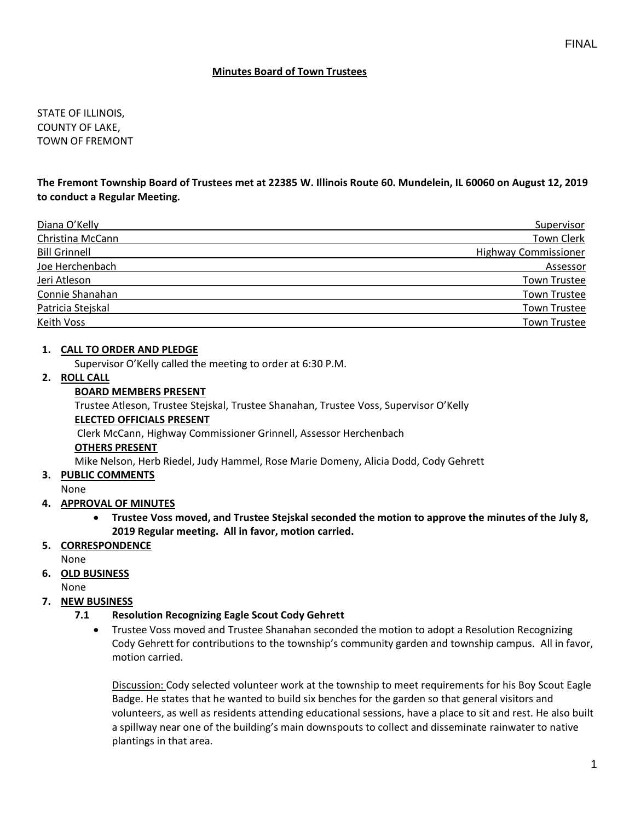## **Minutes Board of Town Trustees**

STATE OF ILLINOIS, COUNTY OF LAKE, TOWN OF FREMONT

## **The Fremont Township Board of Trustees met at 22385 W. Illinois Route 60. Mundelein, IL 60060 on August 12, 2019 to conduct a Regular Meeting.**

| Diana O'Kelly        | Supervisor                  |
|----------------------|-----------------------------|
| Christina McCann     | <b>Town Clerk</b>           |
| <b>Bill Grinnell</b> | <b>Highway Commissioner</b> |
| Joe Herchenbach      | Assessor                    |
| Jeri Atleson         | <b>Town Trustee</b>         |
| Connie Shanahan      | <b>Town Trustee</b>         |
| Patricia Stejskal    | <b>Town Trustee</b>         |
| Keith Voss           | <b>Town Trustee</b>         |

### **1. CALL TO ORDER AND PLEDGE**

Supervisor O'Kelly called the meeting to order at 6:30 P.M.

## **2. ROLL CALL**

#### **BOARD MEMBERS PRESENT**

Trustee Atleson, Trustee Stejskal, Trustee Shanahan, Trustee Voss, Supervisor O'Kelly **ELECTED OFFICIALS PRESENT** Clerk McCann, Highway Commissioner Grinnell, Assessor Herchenbach

**OTHERS PRESENT**

Mike Nelson, Herb Riedel, Judy Hammel, Rose Marie Domeny, Alicia Dodd, Cody Gehrett

- **3. PUBLIC COMMENTS**
- None

## **4. APPROVAL OF MINUTES**

- **Trustee Voss moved, and Trustee Stejskal seconded the motion to approve the minutes of the July 8, 2019 Regular meeting. All in favor, motion carried.**
- **5. CORRESPONDENCE**

None

**6. OLD BUSINESS**

None

**7. NEW BUSINESS**

## **7.1 Resolution Recognizing Eagle Scout Cody Gehrett**

• Trustee Voss moved and Trustee Shanahan seconded the motion to adopt a Resolution Recognizing Cody Gehrett for contributions to the township's community garden and township campus. All in favor, motion carried.

Discussion: Cody selected volunteer work at the township to meet requirements for his Boy Scout Eagle Badge. He states that he wanted to build six benches for the garden so that general visitors and volunteers, as well as residents attending educational sessions, have a place to sit and rest. He also built a spillway near one of the building's main downspouts to collect and disseminate rainwater to native plantings in that area.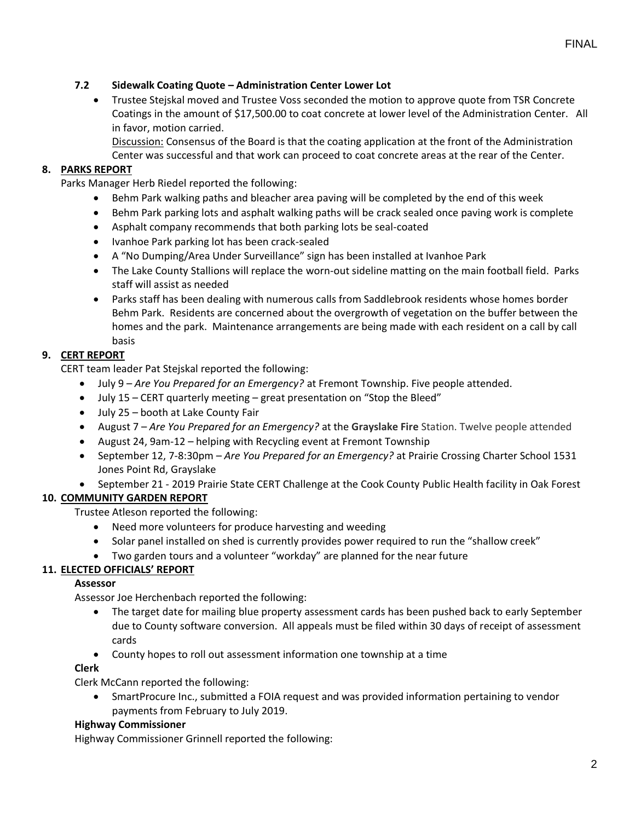# **7.2 Sidewalk Coating Quote – Administration Center Lower Lot**

• Trustee Stejskal moved and Trustee Voss seconded the motion to approve quote from TSR Concrete Coatings in the amount of \$17,500.00 to coat concrete at lower level of the Administration Center. All in favor, motion carried.

Discussion: Consensus of the Board is that the coating application at the front of the Administration Center was successful and that work can proceed to coat concrete areas at the rear of the Center.

## **8. PARKS REPORT**

Parks Manager Herb Riedel reported the following:

- Behm Park walking paths and bleacher area paving will be completed by the end of this week
- Behm Park parking lots and asphalt walking paths will be crack sealed once paving work is complete
- Asphalt company recommends that both parking lots be seal-coated
- Ivanhoe Park parking lot has been crack-sealed
- A "No Dumping/Area Under Surveillance" sign has been installed at Ivanhoe Park
- The Lake County Stallions will replace the worn-out sideline matting on the main football field. Parks staff will assist as needed
- Parks staff has been dealing with numerous calls from Saddlebrook residents whose homes border Behm Park. Residents are concerned about the overgrowth of vegetation on the buffer between the homes and the park. Maintenance arrangements are being made with each resident on a call by call basis

### **9. CERT REPORT**

CERT team leader Pat Stejskal reported the following:

- July 9 *Are You Prepared for an Emergency?* at Fremont Township. Five people attended.
- July 15 CERT quarterly meeting great presentation on "Stop the Bleed"
- July 25 booth at Lake County Fair
- August 7 *Are You Prepared for an Emergency?* at the **Grayslake Fire** Station. Twelve people attended
- August 24, 9am-12 helping with Recycling event at Fremont Township
- September 12, 7-8:30pm *Are You Prepared for an Emergency?* at Prairie Crossing Charter School 1531 Jones Point Rd, Grayslake
- September 21 2019 Prairie State CERT Challenge at the Cook County Public Health facility in Oak Forest

## **10. COMMUNITY GARDEN REPORT**

Trustee Atleson reported the following:

- Need more volunteers for produce harvesting and weeding
- Solar panel installed on shed is currently provides power required to run the "shallow creek"
- Two garden tours and a volunteer "workday" are planned for the near future

## **11. ELECTED OFFICIALS' REPORT**

#### **Assessor**

Assessor Joe Herchenbach reported the following:

- The target date for mailing blue property assessment cards has been pushed back to early September due to County software conversion. All appeals must be filed within 30 days of receipt of assessment cards
- County hopes to roll out assessment information one township at a time

#### **Clerk**

Clerk McCann reported the following:

• SmartProcure Inc., submitted a FOIA request and was provided information pertaining to vendor payments from February to July 2019.

#### **Highway Commissioner**

Highway Commissioner Grinnell reported the following: